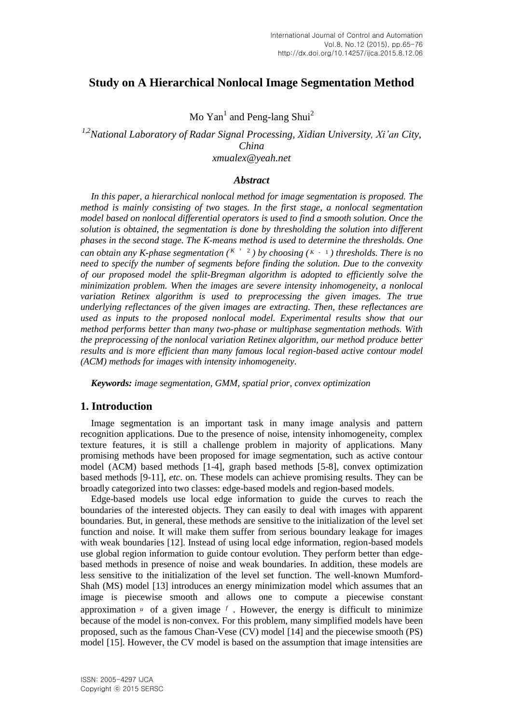# **Study on A Hierarchical Nonlocal Image Segmentation Method**

Mo  $Yan^1$  and Peng-lang Shui<sup>2</sup>

*1,2National Laboratory of Radar Signal Processing, Xidian University, Xi'an City, China xmualex@yeah.net*

## *Abstract*

*In this paper, a hierarchical nonlocal method for image segmentation is proposed. The method is mainly consisting of two stages. In the first stage, a nonlocal segmentation model based on nonlocal differential operators is used to find a smooth solution. Once the solution is obtained, the segmentation is done by thresholding the solution into different phases in the second stage. The K-means method is used to determine the thresholds. One can obtain any K-phase segmentation* ( $K^3$  <sup>2</sup>) by choosing ( $K - 1$ ) thresholds. There is no *need to specify the number of segments before finding the solution. Due to the convexity of our proposed model the split-Bregman algorithm is adopted to efficiently solve the minimization problem. When the images are severe intensity inhomogeneity, a nonlocal variation Retinex algorithm is used to preprocessing the given images. The true underlying reflectances of the given images are extracting. Then, these reflectances are used as inputs to the proposed nonlocal model. Experimental results show that our method performs better than many two-phase or multiphase segmentation methods. With the preprocessing of the nonlocal variation Retinex algorithm, our method produce better results and is more efficient than many famous local region-based active contour model (ACM) methods for images with intensity inhomogeneity.*

*Keywords: image segmentation, GMM, spatial prior, convex optimization*

## **1. Introduction**

Image segmentation is an important task in many image analysis and pattern recognition applications. Due to the presence of noise, intensity inhomogeneity, complex texture features, it is still a challenge problem in majority of applications. Many promising methods have been proposed for image segmentation, such as active contour model (ACM) based methods [1-4], graph based methods [5-8], convex optimization based methods [9-11], *etc*. on. These models can achieve promising results. They can be broadly categorized into two classes: edge-based models and region-based models.

Edge-based models use local edge information to guide the curves to reach the boundaries of the interested objects. They can easily to deal with images with apparent boundaries. But, in general, these methods are sensitive to the initialization of the level set function and noise. It will make them suffer from serious boundary leakage for images with weak boundaries [12]. Instead of using local edge information, region-based models use global region information to guide contour evolution. They perform better than edgebased methods in presence of noise and weak boundaries. In addition, these models are less sensitive to the initialization of the level set function. The well-known Mumford-Shah (MS) model [13] introduces an energy minimization model which assumes that an image is piecewise smooth and allows one to compute a piecewise constant approximation  $\mu$  of a given image  $f$ . However, the energy is difficult to minimize because of the model is non-convex. For this problem, many simplified models have been proposed, such as the famous Chan-Vese (CV) model [14] and the piecewise smooth (PS) model [15]. However, the CV model is based on the assumption that image intensities are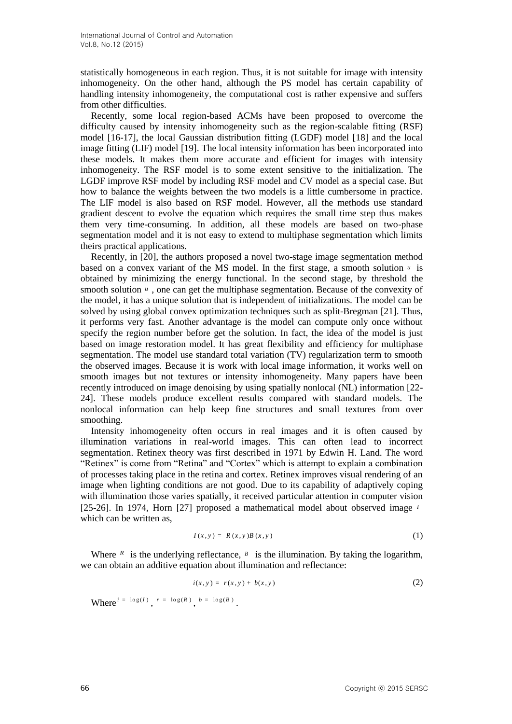statistically homogeneous in each region. Thus, it is not suitable for image with intensity inhomogeneity. On the other hand, although the PS model has certain capability of handling intensity inhomogeneity, the computational cost is rather expensive and suffers from other difficulties.

Recently, some local region-based ACMs have been proposed to overcome the difficulty caused by intensity inhomogeneity such as the region-scalable fitting (RSF) model [16-17], the local Gaussian distribution fitting (LGDF) model [18] and the local image fitting (LIF) model [19]. The local intensity information has been incorporated into these models. It makes them more accurate and efficient for images with intensity inhomogeneity. The RSF model is to some extent sensitive to the initialization. The LGDF improve RSF model by including RSF model and CV model as a special case. But how to balance the weights between the two models is a little cumbersome in practice. The LIF model is also based on RSF model. However, all the methods use standard gradient descent to evolve the equation which requires the small time step thus makes them very time-consuming. In addition, all these models are based on two-phase segmentation model and it is not easy to extend to multiphase segmentation which limits theirs practical applications.

Recently, in [20], the authors proposed a novel two-stage image segmentation method based on a convex variant of the MS model. In the first stage, a smooth solution  $u$  is obtained by minimizing the energy functional. In the second stage, by threshold the smooth solution  $\mu$ , one can get the multiphase segmentation. Because of the convexity of the model, it has a unique solution that is independent of initializations. The model can be solved by using global convex optimization techniques such as split-Bregman [21]. Thus, it performs very fast. Another advantage is the model can compute only once without specify the region number before get the solution. In fact, the idea of the model is just based on image restoration model. It has great flexibility and efficiency for multiphase segmentation. The model use standard total variation (TV) regularization term to smooth the observed images. Because it is work with local image information, it works well on smooth images but not textures or intensity inhomogeneity. Many papers have been recently introduced on image denoising by using spatially nonlocal (NL) information [22- 24]. These models produce excellent results compared with standard models. The nonlocal information can help keep fine structures and small textures from over smoothing.

Intensity inhomogeneity often occurs in real images and it is often caused by illumination variations in real-world images. This can often lead to incorrect segmentation. Retinex theory was first described in 1971 by Edwin H. Land. The word "Retinex" is come from "Retina" and "Cortex" which is attempt to explain a combination of processes taking place in the retina and cortex. Retinex improves visual rendering of an image when lighting conditions are not good. Due to its capability of adaptively coping with illumination those varies spatially, it received particular attention in computer vision [25-26]. In 1974, Horn [27] proposed a mathematical model about observed image *I* which can be written as,

$$
I(x, y) = R(x, y)B(x, y)
$$
\n<sup>(1)</sup>

Where  $R$  is the underlying reflectance,  $B$  is the illumination. By taking the logarithm, we can obtain an additive equation about illumination and reflectance:

$$
i(x, y) = r(x, y) + b(x, y) \tag{2}
$$

Where  $i = \log(I)$ ,  $r = \log(R)$ ,  $b = \log(B)$ .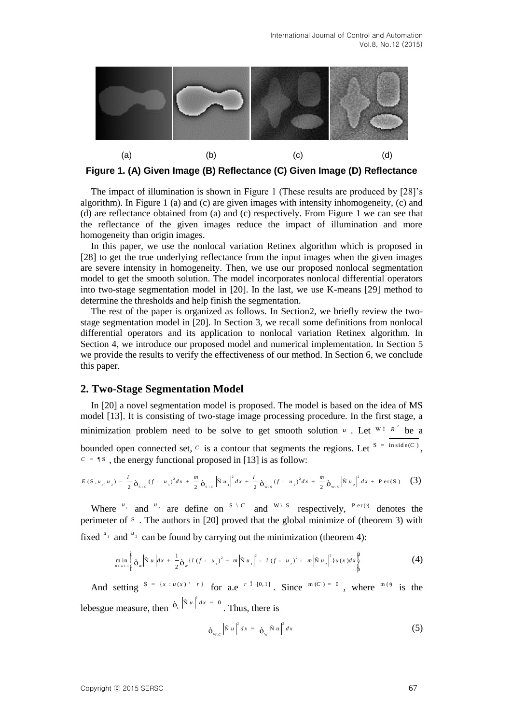

**Figure 1. (A) Given Image (B) Reflectance (C) Given Image (D) Reflectance**

The impact of illumination is shown in Figure 1 (These results are produced by [28]'s algorithm). In Figure 1 (a) and (c) are given images with intensity inhomogeneity, (c) and (d) are reflectance obtained from (a) and (c) respectively. From Figure 1 we can see that the reflectance of the given images reduce the impact of illumination and more homogeneity than origin images.

In this paper, we use the nonlocal variation Retinex algorithm which is proposed in [28] to get the true underlying reflectance from the input images when the given images are severe intensity in homogeneity. Then, we use our proposed nonlocal segmentation model to get the smooth solution. The model incorporates nonlocal differential operators into two-stage segmentation model in [20]. In the last, we use K-means [29] method to determine the thresholds and help finish the segmentation.

The rest of the paper is organized as follows. In Section2, we briefly review the twostage segmentation model in [20]. In Section 3, we recall some definitions from nonlocal differential operators and its application to nonlocal variation Retinex algorithm. In Section 4, we introduce our proposed model and numerical implementation. In Section 5 we provide the results to verify the effectiveness of our method. In Section 6, we conclude this paper.

## **2. Two-Stage Segmentation Model**

In [20] a novel segmentation model is proposed. The model is based on the idea of MS model [13]. It is consisting of two-stage image processing procedure. In the first stage, a minimization problem need to be solve to get smooth solution  $u$ . Let  $W^{\dagger}R^2$  be a bounded open connected set,  $c$  is a contour that segments the regions. Let  $S = \text{inside}(C)$ ,

$$
c = \P s \text{ , the energy functional proposed in [13] is as follow:}
$$
\n
$$
E(s, u_1, u_2) = \frac{l}{2} \delta_{s/c} (f - u_1)^2 dx + \frac{m}{2} \delta_{s/c} |\tilde{N} u_1|^2 dx + \frac{l}{2} \delta_{w/s} (f - u_2)^2 dx + \frac{m}{2} \delta_{w/s} |\tilde{N} u_2|^2 dx + \text{Per}(S) \quad (3)
$$

Where  $u_1$  and  $u_2$  are define on  $S \setminus C$  and  $W \setminus S$  respectively,  $P \text{er}(\cdot)$  denotes the perimeter of s. The authors in [20] proved that the global minimize of (theorem 3) with

fixed <sup>u<sub>1</sub></sup> and <sup>u<sub>2</sub></sup> can be found by carrying out the minimization (theorem 4):  
\n
$$
\min_{\substack{m \text{ in } \mathbb{I}^{\frac{1}{2}} \\ 0, \, u \neq 1}} \frac{1}{\rho_w} |\tilde{N} u| dx + \frac{1}{2} \rho_w \left\{ l (f - u_1)^2 + m |\tilde{N} u_1|^2 - l (f - u_2)^2 - m |\tilde{N} u_2|^2 \right\} u(x) dx \frac{\tilde{N}}{\tilde{N}}
$$
\n(4)

And setting  $S = \{x : u(x)^{3} \mid r\}$  for a.e  $r \in [0, 1]$ . Since  $m(C) = 0$ , where  $m(\lambda)$  is the lebesgue measure, then  $\dot{\sigma}_c \left| \tilde{N} u \right|^2 dx = 0$ . Thus, there is

$$
\delta_{w,c} |\tilde{N} u|^2 dx = \delta_w |\tilde{N} u|^2 dx \qquad (5)
$$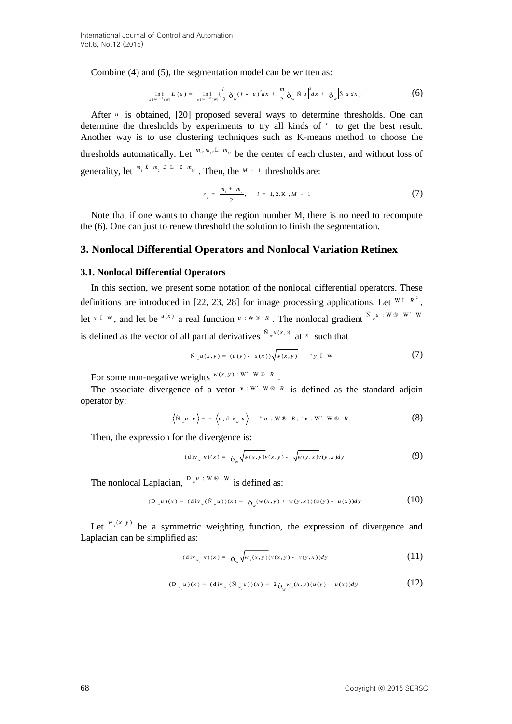Combine (4) and (5), the segmentation model can be written as:

$$
\inf_{u \perp w^{1.2}(w)} E(u) = \inf_{u \perp w^{1.2}(w)} \{\frac{l}{2} \delta_w (f - u)^2 dx + \frac{m}{2} \delta_w |\tilde{N} u|^2 dx + \delta_w |\tilde{N} u| dx\}
$$
(6)

After *u* is obtained, [20] proposed several ways to determine thresholds. One can determine the thresholds by experiments to try all kinds of *r* to get the best result. Another way is to use clustering techniques such as K-means method to choose the thresholds automatically. Let  $^{m_1, m_2, L}$   $^{m_M}$  be the center of each cluster, and without loss of generality, let  $^{m_1 t m_2 t L t m_m}$ . Then, the  $^{M-1}$  thresholds are:

$$
r_{i} = \frac{m_{1} + m_{2}}{2}, \quad i = 1, 2, K, M - 1
$$
 (7)

Note that if one wants to change the region number M, there is no need to recompute the (6). One can just to renew threshold the solution to finish the segmentation.

## **3. Nonlocal Differential Operators and Nonlocal Variation Retinex**

#### **3.1. Nonlocal Differential Operators**

In this section, we present some notation of the nonlocal differential operators. These definitions are introduced in [22, 23, 28] for image processing applications. Let  $W^{\dagger} R^2$ , let  $x \in W$ , and let be  $u(x)$  a real function  $u: W \otimes R$ . The nonlocal gradient  $\sum_{n=1}^{N} u \cdot W \otimes W'$  w is defined as the vector of all partial derivatives  $\int_{0}^{\tilde{N}_{w}u(x,\theta)}$  at x such that

$$
\tilde{\mathbf{N}}_{w}u(x,y) = (u(y) - u(x))\sqrt{w(x,y)} \qquad \text{`` } y \text{ } \hat{\mathbf{I}} \text{ } \mathbf{W}
$$
 (7)

For some non-negative weights  $^{w(x,y):W' \cdot W \cdot \mathbb{R}}$ .

The associate divergence of a vetor  $\mathbf{v} : \mathbf{W} \in \mathbb{R}$  is defined as the standard adjoin operator by:

$$
\langle \tilde{\mathbf{N}}_{w} u, \mathbf{v} \rangle = - \langle u, \operatorname{div}_{w} \mathbf{v} \rangle \qquad u : \mathbf{W} \otimes R, \mathbf{v} : \mathbf{W}' \mathbf{W} \otimes R
$$
 (8)

Then, the expression for the divergence is:

$$
(\text{div}_{w} \mathbf{v})(x) = \partial_{w} \sqrt{w(x,y)v(x,y)} - \sqrt{w(y,x)v(y,x)} dy
$$
 (9)

The nonlocal Laplacian,  $D_{\mu}^{u}$  : W  $\otimes$  W is defined as:

$$
(\mathbf{D}_{w}u)(x) = (\text{div}_{w}(\tilde{\mathbf{N}}_{w}u))(x) = \mathbf{\hat{\rho}}_{w}(w(x,y) + w(y,x))(u(y) - u(x))dy
$$
\n(10)

Let  $^{w_s(x,y)}$  be a symmetric weighting function, the expression of divergence and Laplacian can be simplified as:

$$
(\operatorname{div}_{w_x} \mathbf{v})(x) = \partial_w \sqrt{w_x(x, y)} (v(x, y) - v(y, x)) dy \tag{11}
$$

$$
(\mathbf{D}_{w_{y}}u)(x) = (\text{div}_{w_{y}}(\tilde{\mathbf{N}}_{w_{y}}u))(x) = 2\mathbf{\hat{O}}_{w}w_{y}(x,y)(u(y) - u(x))dy
$$
\n(12)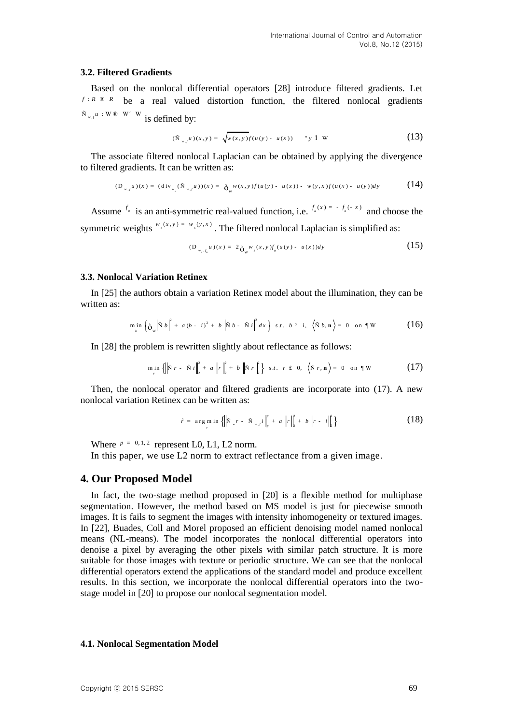## **3.2. Filtered Gradients**

Based on the nonlocal differential operators [28] introduce filtered gradients. Let  $f: R \otimes R$  be a real valued distortion function, the filtered nonlocal gradients  $^{\tilde{N}}$ <sub>*w*,  $^{\mu}$ </sub> : W ® W' W is defined by:

$$
(\tilde{N}_{w,f}u)(x,y) = \sqrt{w(x,y)f(u(y) - u(x))} \quad "y \text{ i } W \tag{13}
$$

The associate filtered nonlocal Laplacian can be obtained by applying the divergence to filtered gradients. It can be written as:

$$
\text{d} \text{gradients. It can be written as:}
$$
\n
$$
(\mathbf{D}_{w,j}u)(x) = (\text{div}_{w_j}(\tilde{\mathbf{N}}_{w,j}u))(x) = \mathbf{\hat{\Theta}}_w w(x,y) f(u(y) - u(x)) - w(y,x) f(u(x) - u(y)) \, dy \tag{14}
$$

Assume  $f_a$  is an anti-symmetric real-valued function, i.e.  $f_a(x) = -f_a(-x)$  and choose the symmetric weights  $^{w_s(x,y) = w_s(y,x)}$ . The filtered nonlocal Laplacian is simplified as:

$$
(\mathcal{D}_{w_x, f_u} u)(x) = 2 \, \mathbf{\hat{o}}_{w} w_x(x, y) f_a(u(y) - u(x)) dy \tag{15}
$$

#### **3.3. Nonlocal Variation Retinex**

In [25] the authors obtain a variation Retinex model about the illumination, they can be written as:

$$
\min_{b} \left\{ \dot{\mathbf{O}}_{w} \middle| \tilde{N} b \right\}^{2} + a (b - i)^{2} + b \left| \tilde{N} b - \tilde{N} i \right|^{2} dx \left\} \text{ s.t. } b^{3} i, \left\langle \tilde{N} b, \mathbf{n} \right\rangle = 0 \text{ on } \P W \tag{16}
$$

In [28] the problem is rewritten slightly about reflectance as follows:

$$
\min_{r} \left\{ \left\| \tilde{N} \ r - \tilde{N} \ i \right\|_{2}^{2} + a \left\| r \right\|_{2}^{2} + b \left\| \tilde{N} \ r \right\|_{2}^{2} \right\} \ s.t. \ r \ \text{£} \ 0, \ \left\langle \tilde{N} \ r, \mathbf{n} \right\rangle = 0 \ \ \text{on } \P \ W \tag{17}
$$

Then, the nonlocal operator and filtered gradients are incorporate into (17). A new nonlocal variation Retinex can be written as:

$$
\hat{r} = \arg \min_{r} \left\{ \left\| \tilde{N}_{w} r - \tilde{N}_{w} \right\|_{p}^{p} + a \left\| r \right\|_{2}^{2} + b \left\| r - i \right\|_{2}^{2} \right\}
$$
 (18)

Where  $p = 0, 1, 2$  represent L0, L1, L2 norm.

In this paper, we use L2 norm to extract reflectance from a given image.

## **4. Our Proposed Model**

In fact, the two-stage method proposed in [20] is a flexible method for multiphase segmentation. However, the method based on MS model is just for piecewise smooth images. It is fails to segment the images with intensity inhomogeneity or textured images. In [22], Buades, Coll and Morel proposed an efficient denoising model named nonlocal means (NL-means). The model incorporates the nonlocal differential operators into denoise a pixel by averaging the other pixels with similar patch structure. It is more suitable for those images with texture or periodic structure. We can see that the nonlocal differential operators extend the applications of the standard model and produce excellent results. In this section, we incorporate the nonlocal differential operators into the twostage model in [20] to propose our nonlocal segmentation model.

### **4.1. Nonlocal Segmentation Model**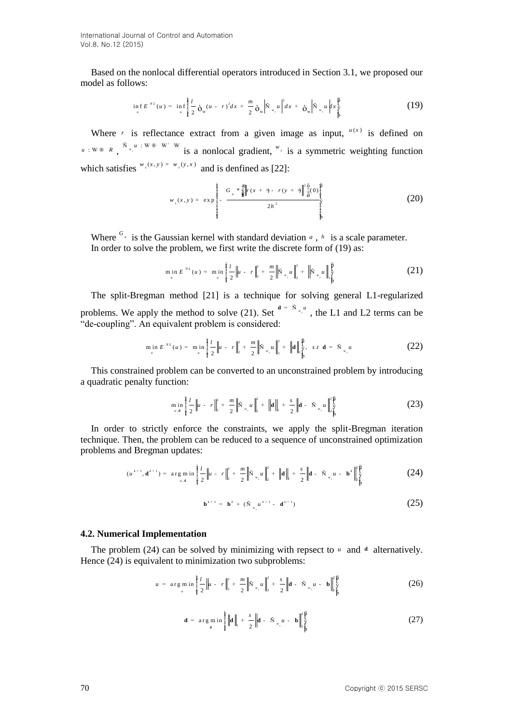International Journal of Control and Automation Vol.8, No.12 (2015)

Based on the nonlocal differential operators introduced in Section 3.1, we proposed our model as follows:

$$
\inf_{u} E^{NL}(u) = \inf_{u} \frac{1}{4} \frac{l}{2} \delta_w (u - r)^2 dx + \frac{m}{2} \delta_w \left| \tilde{N}_{w,u} u \right|^{2} dx + \delta_w \left| \tilde{N}_{w,u} u \right|^{2} dx + \frac{m}{2} \left( 19 \right)
$$

Where *r* is reflectance extract from a given image as input,  $u(x)$  is defined on  $u : W \otimes R$ ,  $\sum_{i=1}^{\infty} u_i : W \otimes W$  is a nonlocal gradient,  $w_i$  is a symmetric weighting function which satisfies  $^{w_s(x,y) = w_s(y,x)}$  and is denfined as [22]:

$$
w_{s}(x, y) = \exp \left\{\frac{1}{2} - \frac{G_{a} * \frac{a}{8}}{\frac{a}{2}} \right\} r(x + \lambda) - r(y + \lambda) \left\| \frac{3}{\frac{a}{8}}(0) \frac{a}{\frac{a}{8}} \frac{a}{\frac{a}{8}} \right\} (20)
$$

Where  $G_a$  is the Gaussian kernel with standard deviation  $a$ ,  $h$  is a scale parameter. In order to solve the problem, we first write the discrete form of (19) as:

$$
\min_{u} E^{NL}(u) = \min_{u} \left\| \frac{l}{2} \left\| u - r \right\|_{2}^{2} + \frac{m}{2} \left\| \tilde{N}_{w,u} u \right\|_{2}^{2} + \left\| \tilde{N}_{w,u} u \right\|_{\tilde{p}}^{\frac{m}{2}} \right\|
$$
 (21)

The split-Bregman method [21] is a technique for solving general L1-regularized problems. We apply the method to solve (21). Set  $\frac{d}{dx} = \frac{\tilde{N}}{w} \int_{x}^{w}$ , the L1 and L2 terms can be "de-coupling". An equivalent problem is considered:

$$
\min_{u} E^{NL}(u) = \min_{u} \left\{ \frac{i}{2} \left\| u - r \right\|_{2}^{2} + \frac{m}{2} \left\| \tilde{N}_{w,u} u \right\|_{2}^{2} + \left\| \mathbf{d} \right\|_{\tilde{Y}}^{\frac{6}{3}}, \text{ s.t. } \mathbf{d} = \tilde{N}_{w,u} u \tag{22}
$$

This constrained problem can be converted to an unconstrained problem by introducing a quadratic penalty function:

$$
\min_{u,d} \frac{\frac{3}{4}}{\frac{1}{4}} \frac{l}{2} \|u - r\|_2^2 + \frac{m}{2} \left\| \tilde{N}_{w,u} \right\|_2^2 + \left\| \mathbf{d} \right\|_1 + \frac{s}{2} \left\| \mathbf{d} - \tilde{N}_{w,u} \right\|_2^2 \frac{\tilde{P}}{\tilde{P}} \tag{23}
$$

In order to strictly enforce the constraints, we apply the split-Bregman iteration technique. Then, the problem can be reduced to a sequence of unconstrained optimization problems and Bregman updates:

(d) Bregularian updates:  
\n
$$
(u^{k+1}, \mathbf{d}^{k+1}) = \arg\min_{u, \mathbf{d}} \frac{\frac{3}{l}l}{2} ||u - r||_2^2 + \frac{m}{2} ||\tilde{\mathbf{N}}_{w, u}||_2^2 + ||\mathbf{d}||_1 + \frac{s}{2} ||\mathbf{d} - \tilde{\mathbf{N}}_{w, u} - \mathbf{b}^k||_2^2
$$
\n(24)

$$
\mathbf{b}^{k+1} = \mathbf{b}^k + (\tilde{N}_{w_k} u^{k+1} - \mathbf{d}^{k+1})
$$
 (25)

#### **4.2. Numerical Implementation**

The problem  $(24)$  can be solved by minimizing with repsect to  $\mu$  and  $\mathbf{d}$  alternatively. Hence (24) is equivalent to minimization two subproblems:

$$
u = \arg\min_{u} \frac{\frac{2}{3}l}{\frac{1}{3}l} \|u - r\|_{2}^{2} + \frac{m}{2} \|\tilde{N}_{w,u}\|_{2}^{2} + \frac{s}{2} \|d - \tilde{N}_{w,u} - b\|_{2}^{\frac{s}{2}} \bigg\}^{2}
$$
 (26)

$$
\mathbf{d} = \arg \min_{\mathbf{d}} \inf_{\mathbf{d}} \frac{\frac{1}{2} \|\mathbf{d}\|_{1} + \frac{s}{2} \|\mathbf{d} - \tilde{N}_{w} u - \mathbf{b}\|_{2}^{\frac{10}{2}}}{2}
$$
 (27)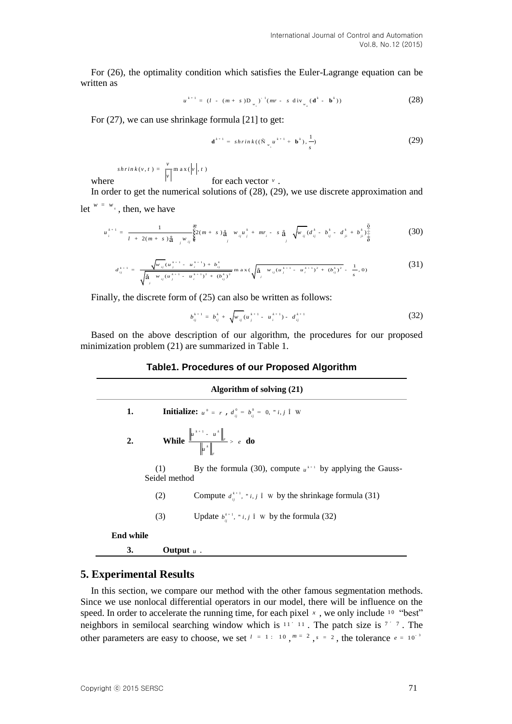For (26), the optimality condition which satisfies the Euler-Lagrange equation can be written as

$$
u^{k+1} = (l - (m + s)D_{w_{s}})^{-1}(mr - s \operatorname{div}_{w_{w}}(\mathbf{d}^{k} - \mathbf{b}^{k}))
$$
 (28)

For (27), we can use shrinkage formula [21] to get:

$$
\mathbf{d}^{k+1} = shrink((\tilde{N}_{w_i}u^{k+1} + \mathbf{b}^k), \frac{1}{s})
$$
 (29)

where  $s \, h \, r \, in \, k \, (v, t) = \frac{v}{|v|} \, m \, a \, x \, (\left| v \right|, t)$ 

for each vector *v* . In order to get the numerical solutions of (28), (29), we use discrete approximation and

let  $w = w$ , then, we have

$$
u_i^{k+1} = \frac{1}{1 + 2(m+s)\frac{a}{d}} \sum_{j=0}^{\infty} (m+s)\frac{a}{d}} w_{ij} u_j^k + mr_i - s\frac{a}{d} \sqrt{w_{ij}(d_{ij}^k - b_{ij}^k - d_{ji}^k + b_{ji}^k)\frac{\frac{a}{d}}{\frac{a}{d}}}
$$
(30)

$$
d_{ij}^{k+1} = \frac{\sqrt{w_{ij}(u_j^{k+1} - u_i^{k+1}) + b_{ij}^k}}{\sqrt{\frac{3}{4} - w_{ij}(u_j^{k+1} - u_i^{k+1})^2 + (b_{ij}^k)^2}} \max\left(\sqrt{\frac{3}{4} - w_{ij}(u_j^{k+1} - u_i^{k+1})^2 + (b_{ij}^k)^2} - \frac{1}{s}, 0\right)
$$
(31)

Finally, the discrete form of (25) can also be written as follows:

$$
b_{ij}^{k+1} = b_{ij}^k + \sqrt{w_{ij}(u_j^{k+1} - u_i^{k+1}) - d_{ij}^{k+1}}
$$
 (32)

Based on the above description of our algorithm, the procedures for our proposed minimization problem (21) are summarized in Table 1.

## **Table1. Procedures of our Proposed Algorithm**

| Algorithm of solving (21) |                      |                                                                                              |  |  |  |  |  |
|---------------------------|----------------------|----------------------------------------------------------------------------------------------|--|--|--|--|--|
| 1.                        |                      | <b>Initialize:</b> $u^0 = r$ , $d_{ii}^0 = b_{ii}^0 = 0$ , " <i>i</i> , <i>j</i> $\hat{1}$ W |  |  |  |  |  |
| 2.                        |                      | <b>While</b> $\frac{\left\ u^{k+1} - u^k\right\ _F}{\left\ u^k\right\ } > e$ <b>do</b>       |  |  |  |  |  |
|                           | (1)<br>Seidel method | By the formula (30), compute $u^{k+1}$ by applying the Gauss-                                |  |  |  |  |  |
|                           | (2)                  | Compute $d_{ii}^{k+1}$ , " <i>i</i> , <i>j</i> î w by the shrinkage formula (31)             |  |  |  |  |  |
|                           | (3)                  | Update $b_i^{k+1}$ , " <i>i</i> , <i>j</i> î w by the formula (32)                           |  |  |  |  |  |
| <b>End while</b>          |                      |                                                                                              |  |  |  |  |  |
| 3.                        | Output $u$ .         |                                                                                              |  |  |  |  |  |

## **5. Experimental Results**

In this section, we compare our method with the other famous segmentation methods. Since we use nonlocal differential operators in our model, there will be influence on the speed. In order to accelerate the running time, for each pixel  $x$ , we only include  $10$  "best" neighbors in semilocal searching window which is  $11'$  11. The patch size is  $7'$  7. The other parameters are easy to choose, we set  $l = 1 : 10, m = 2, s = 2$ , the tolerance  $e = 10^{-3}$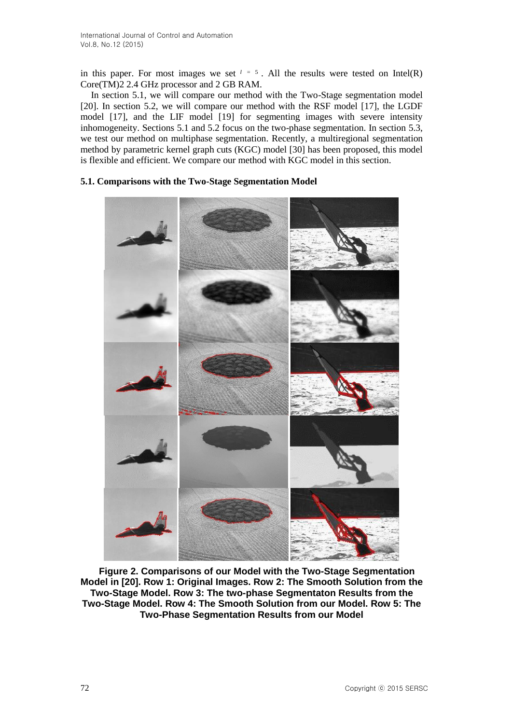in this paper. For most images we set  $l = 5$ . All the results were tested on Intel(R) Core(TM)2 2.4 GHz processor and 2 GB RAM.

In section 5.1, we will compare our method with the Two-Stage segmentation model [20]. In section 5.2, we will compare our method with the RSF model [17], the LGDF model [17], and the LIF model [19] for segmenting images with severe intensity inhomogeneity. Sections 5.1 and 5.2 focus on the two-phase segmentation. In section 5.3, we test our method on multiphase segmentation. Recently, a multiregional segmentation method by parametric kernel graph cuts (KGC) model [30] has been proposed, this model is flexible and efficient. We compare our method with KGC model in this section.

## **5.1. Comparisons with the Two-Stage Segmentation Model**



**Figure 2. Comparisons of our Model with the Two-Stage Segmentation Model in [20]. Row 1: Original Images. Row 2: The Smooth Solution from the Two-Stage Model. Row 3: The two-phase Segmentaton Results from the Two-Stage Model. Row 4: The Smooth Solution from our Model. Row 5: The Two-Phase Segmentation Results from our Model**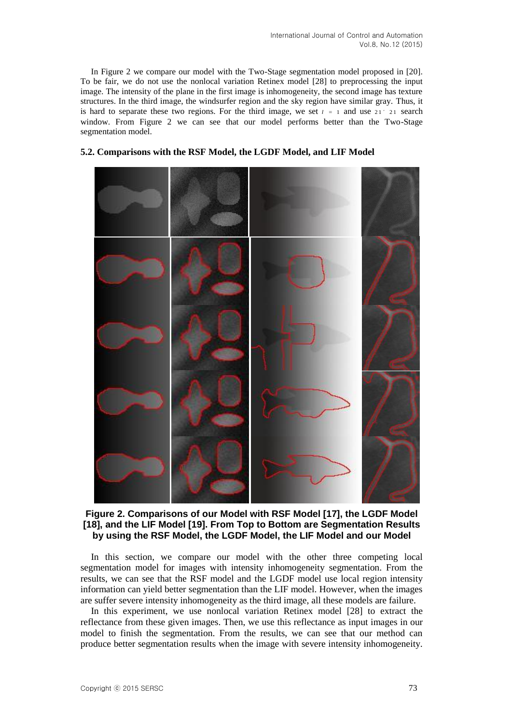In Figure 2 we compare our model with the Two-Stage segmentation model proposed in [20]. To be fair, we do not use the nonlocal variation Retinex model [28] to preprocessing the input image. The intensity of the plane in the first image is inhomogeneity, the second image has texture structures. In the third image, the windsurfer region and the sky region have similar gray. Thus, it is hard to separate these two regions. For the third image, we set  $l = 1$  and use 21' 21 search window. From Figure 2 we can see that our model performs better than the Two-Stage segmentation model.



#### **5.2. Comparisons with the RSF Model, the LGDF Model, and LIF Model**

**Figure 2. Comparisons of our Model with RSF Model [17], the LGDF Model [18], and the LIF Model [19]. From Top to Bottom are Segmentation Results by using the RSF Model, the LGDF Model, the LIF Model and our Model**

In this section, we compare our model with the other three competing local segmentation model for images with intensity inhomogeneity segmentation. From the results, we can see that the RSF model and the LGDF model use local region intensity information can yield better segmentation than the LIF model. However, when the images are suffer severe intensity inhomogeneity as the third image, all these models are failure.

In this experiment, we use nonlocal variation Retinex model [28] to extract the reflectance from these given images. Then, we use this reflectance as input images in our model to finish the segmentation. From the results, we can see that our method can produce better segmentation results when the image with severe intensity inhomogeneity.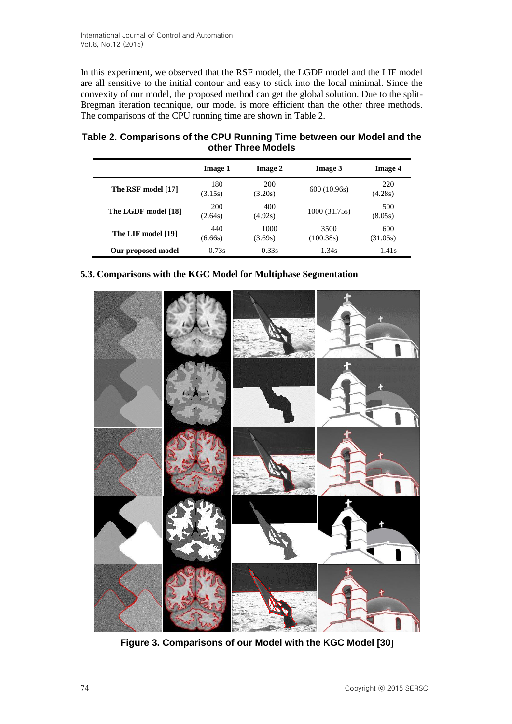In this experiment, we observed that the RSF model, the LGDF model and the LIF model are all sensitive to the initial contour and easy to stick into the local minimal. Since the convexity of our model, the proposed method can get the global solution. Due to the split-Bregman iteration technique, our model is more efficient than the other three methods. The comparisons of the CPU running time are shown in Table 2.

| Table 2. Comparisons of the CPU Running Time between our Model and the |
|------------------------------------------------------------------------|
| other Three Models                                                     |

|                     | Image 1        | Image 2         | <b>Image 3</b>    | <b>Image 4</b>  |
|---------------------|----------------|-----------------|-------------------|-----------------|
| The RSF model [17]  | 180<br>(3.15s) | 200<br>(3.20s)  | 600(10.96s)       | 220<br>(4.28s)  |
| The LGDF model [18] | 200<br>(2.64s) | 400<br>(4.92s)  | 1000(31.75s)      | 500<br>(8.05s)  |
| The LIF model [19]  | 440<br>(6.66s) | 1000<br>(3.69s) | 3500<br>(100.38s) | 600<br>(31.05s) |
| Our proposed model  | 0.73s          | 0.33s           | 1.34s             | 1.41s           |

## **5.3. Comparisons with the KGC Model for Multiphase Segmentation**



**Figure 3. Comparisons of our Model with the KGC Model [30]**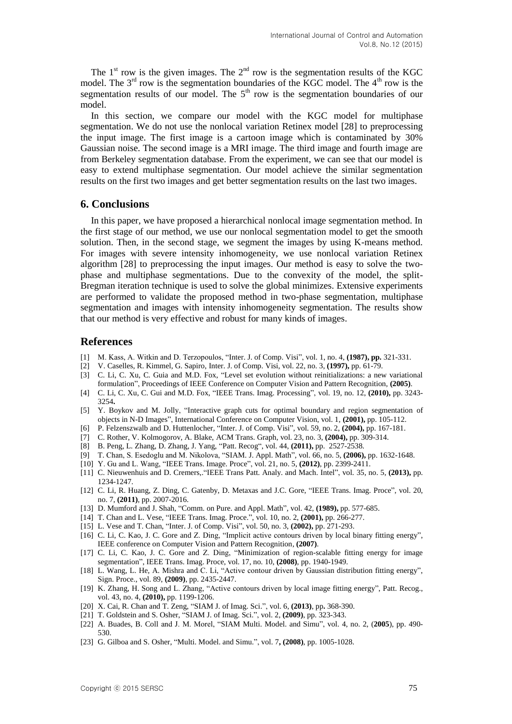The  $1<sup>st</sup>$  row is the given images. The  $2<sup>nd</sup>$  row is the segmentation results of the KGC model. The  $3<sup>rd</sup>$  row is the segmentation boundaries of the KGC model. The  $4<sup>th</sup>$  row is the segmentation results of our model. The  $5<sup>th</sup>$  row is the segmentation boundaries of our model.

In this section, we compare our model with the KGC model for multiphase segmentation. We do not use the nonlocal variation Retinex model [28] to preprocessing the input image. The first image is a cartoon image which is contaminated by 30% Gaussian noise. The second image is a MRI image. The third image and fourth image are from Berkeley segmentation database. From the experiment, we can see that our model is easy to extend multiphase segmentation. Our model achieve the similar segmentation results on the first two images and get better segmentation results on the last two images.

## **6. Conclusions**

In this paper, we have proposed a hierarchical nonlocal image segmentation method. In the first stage of our method, we use our nonlocal segmentation model to get the smooth solution. Then, in the second stage, we segment the images by using K-means method. For images with severe intensity inhomogeneity, we use nonlocal variation Retinex algorithm [28] to preprocessing the input images. Our method is easy to solve the twophase and multiphase segmentations. Due to the convexity of the model, the split-Bregman iteration technique is used to solve the global minimizes. Extensive experiments are performed to validate the proposed method in two-phase segmentation, multiphase segmentation and images with intensity inhomogeneity segmentation. The results show that our method is very effective and robust for many kinds of images.

### **References**

- [1] M. Kass, A. Witkin and D. Terzopoulos, "Inter. J. of Comp. Visi", vol. 1, no. 4, **(1987), pp.** 321-331.
- [2] V. Caselles, R. Kimmel, G. Sapiro, Inter. J. of Comp. Visi, vol. 22, no. 3, **(1997),** pp. 61-79.
- [3] C. Li, C. Xu, C. Guia and M.D. Fox, "Level set evolution without reinitializations: a new variational formulation", Proceedings of IEEE Conference on Computer Vision and Pattern Recognition, **(2005)**.
- [4] C. Li, C. Xu, C. Gui and M.D. Fox, "IEEE Trans. Imag. Processing", vol. 19, no. 12, **(2010),** pp. 3243- 3254**.**
- [5] Y. Boykov and M. Jolly, "Interactive graph cuts for optimal boundary and region segmentation of objects in N-D Images", International Conference on Computer Vision, vol. 1, **(2001),** pp. 105-112.
- [6] P. Felzenszwalb and D. Huttenlocher, "Inter. J. of Comp. Visi", vol. 59, no. 2, **(2004),** pp. 167-181.
- [7] C. Rother, V. Kolmogorov, A. Blake, ACM Trans. Graph, vol. 23, no. 3, **(2004),** pp. 309-314.
- [8] B. Peng, L. Zhang, D. Zhang, J. Yang, "Patt. Recog", vol. 44, **(2011),** pp. 2527-2538.
- [9] T. Chan, S. Esedoglu and M. Nikolova, "SIAM. J. Appl. Math", vol. 66, no. 5, **(2006),** pp. 1632-1648.
- [10] Y. Gu and L. Wang, "IEEE Trans. Image. Proce", vol. 21, no. 5, **(2012)**, pp. 2399-2411.
- [11] C. Nieuwenhuis and D. Cremers,."IEEE Trans Patt. Analy. and Mach. Intel", vol. 35, no. 5, **(2013),** pp. 1234-1247.
- [12] C. Li, R. Huang, Z. Ding, C. Gatenby, D. Metaxas and J.C. Gore, "IEEE Trans. Imag. Proce", vol. 20, no. 7, **(2011)**, pp. 2007-2016.
- [13] D. Mumford and J. Shah, "Comm. on Pure. and Appl. Math", vol. 42, **(1989),** pp. 577-685.
- [14] T. Chan and L. Vese, "IEEE Trans. Imag. Proce.", vol. 10, no. 2, **(2001),** pp. 266-277.
- [15] L. Vese and T. Chan, "Inter. J. of Comp. Visi", vol. 50, no. 3, **(2002),** pp. 271-293.
- [16] C. Li, C. Kao, J. C. Gore and Z. Ding, "Implicit active contours driven by local binary fitting energy", IEEE conference on Computer Vision and Pattern Recognition, **(2007)**.
- [17] C. Li, C. Kao, J. C. Gore and Z. Ding, "Minimization of region-scalable fitting energy for image segmentation", IEEE Trans. Imag. Proce, vol. 17, no. 10, **(2008)**, pp. 1940-1949.
- [18] L. Wang, L. He, A. Mishra and C. Li, "Active contour driven by Gaussian distribution fitting energy", Sign. Proce., vol. 89, **(2009)**, pp. 2435-2447.
- [19] K. Zhang, H. Song and L. Zhang, "Active contours driven by local image fitting energy", Patt. Recog., vol. 43, no. 4, **(2010),** pp. 1199-1206.
- [20] X. Cai, R. Chan and T. Zeng, "SIAM J. of Imag. Sci.", vol. 6, **(2013)**, pp**.** 368-390.
- [21] T. Goldstein and S. Osher, "SIAM J. of Imag. Sci.", vol. 2, **(2009)**, pp. 323-343.
- [22] A. Buades, B. Coll and J. M. Morel, "SIAM Multi. Model. and Simu", vol. 4, no. 2, (**2005**), pp. 490- 530.
- [23] G. Gilboa and S. Osher, "Multi. Model. and Simu.", vol. 7**, (2008)**, pp. 1005-1028.